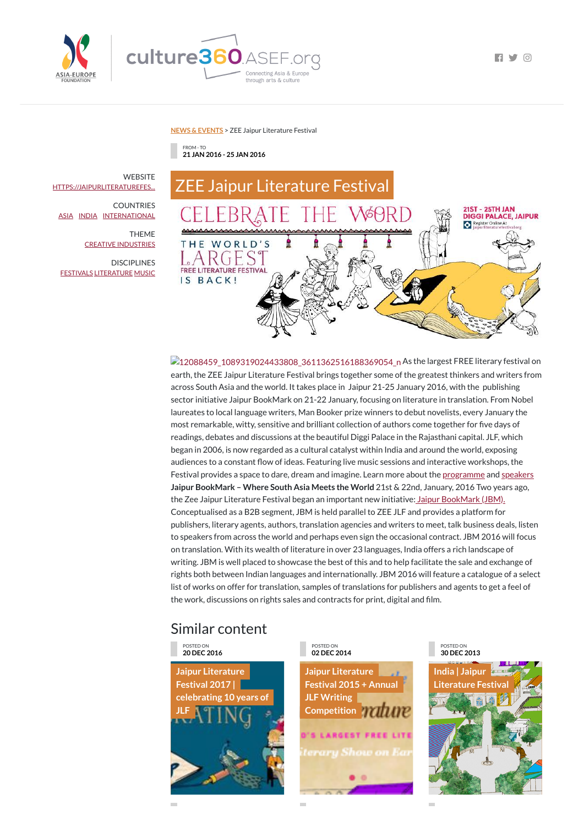



**FI Y 0** 

**NEWS & [EVENTS](https://culture360.asef.org/news-events/)** > ZEE Jaipur Literature Festival

## Similar content

FROM - TO **21 JAN 2016 - 25 JAN 2016**



**212088459\_1089319024433808\_3611362516188369054\_n As the largest FREE literary festival on** earth, the ZEE Jaipur Literature Festival brings together some of the greatest thinkers and writers from across South Asia and the world. It takes place in Jaipur 21-25 January 2016, with the publishing sector initiative Jaipur BookMark on 21-22 January, focusing on literature in translation. From Nobel laureates to local language writers, Man Booker prize winners to debut novelists, every January the most remarkable, witty, sensitive and brilliant collection of authors come together for five days of readings, debates and discussions at the beautiful Diggi Palace in the Rajasthani capital. JLF, which began in 2006, is now regarded as a cultural catalyst within India and around the world, exposing audiences to a constant flow of ideas. Featuring live music sessions and interactive workshops, the Festival provides a space to dare, dream and imagine. Learn more about the <u>[programme](https://jaipurliteraturefestival.org/jlf-2016/programme/)</u> and [speakers](https://jaipurliteraturefestival.org/jlf-2016/speakers/) **Jaipur BookMark – Where South Asia Meets the World** 21st & 22nd, January, 2016 Two years ago, the Zee Jaipur Literature Festival began an important new initiative: Jaipur [BookMark](https://jaipurliteraturefestival.org/jaipur-bookmark/about/) (JBM). Conceptualised as a B2B segment, JBM is held parallel to ZEE JLF and provides a platform for publishers, literary agents, authors, translation agencies and writers to meet, talk business deals, listen to speakers from across the world and perhaps even sign the occasional contract. JBM 2016 will focus on translation. With its wealth of literature in over 23 languages, India offers a rich landscape of writing. JBM is well placed to showcase the best of this and to help facilitate the sale and exchange of rights both between Indian languages and internationally. JBM 2016 will feature a catalogue of a select list of works on offer for translation, samples of translations for publishers and agents to get a feel of the work, discussions on rights sales and contracts for print, digital and film.

> **Jaipur Literature Festival 2015 + Annual JLF Writing [Competition](https://culture360.asef.org/news-events/jaipur-literature-festival-2015-annual-jlf-writing-competition/) ATT**

**WEBSITE** [HTTPS://JAIPURLITERATUREFES...](https://jaipurliteraturefestival.org/)

**DISCIPLINES** [FESTIVALS](https://culture360.asef.org/disciplines/festivals/) [LITERATURE](https://culture360.asef.org/disciplines/literature/) [MUSIC](https://culture360.asef.org/disciplines/music/)

> POSTED ON **20 DEC 2016**

**Jaipur Literature Festival 2017 | [celebrating](https://culture360.asef.org/news-events/jaipur-literature-festival-2017-celebrating-10-years-jlf/) 10 years of JLF**

POSTED ON **02 DEC 2014**

 $\mathcal{L}_{\mathcal{A}}$ 

**S'S LARGEST FREE LITE** terary Show on Ear

÷





COUNTRIES [ASIA](https://culture360.asef.org/countries/asia/) [INDIA](https://culture360.asef.org/countries/india/) [INTERNATIONAL](https://culture360.asef.org/countries/international/)

> THEME CREATIVE [INDUSTRIES](https://culture360.asef.org/themes/creative-industries/)